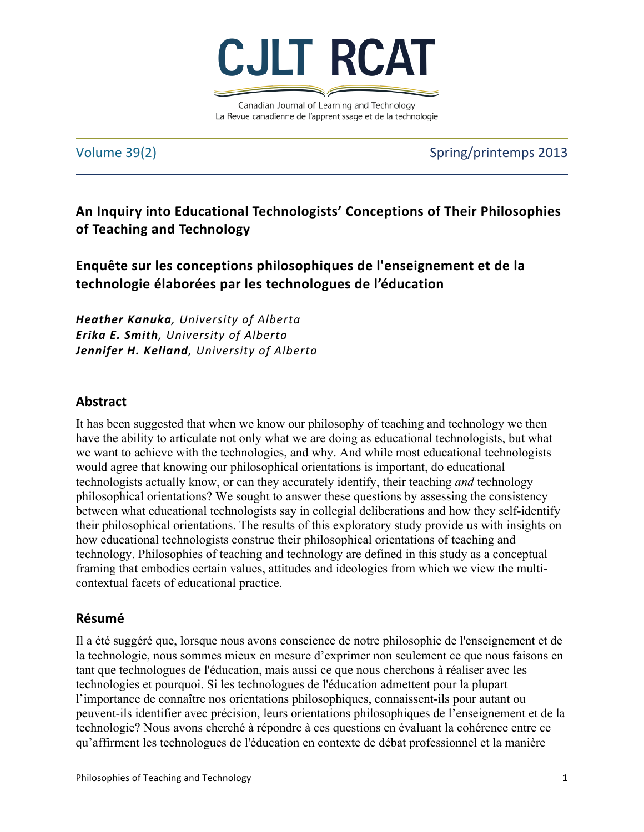

Canadian Journal of Learning and Technology La Revue canadienne de l'apprentissage et de la technologie

# Volume 39(2) Spring/printemps 2013

An Inquiry into Educational Technologists' Conceptions of Their Philosophies **of Teaching and Technology**

Enquête sur les conceptions philosophiques de l'enseignement et de la **technologie élaborées par les technologues de l'éducation**

*Heather Kanuka, University of Alberta Erika E. Smith, University of Alberta Jennifer H. Kelland, University of Alberta*

# **Abstract**

It has been suggested that when we know our philosophy of teaching and technology we then have the ability to articulate not only what we are doing as educational technologists, but what we want to achieve with the technologies, and why. And while most educational technologists would agree that knowing our philosophical orientations is important, do educational technologists actually know, or can they accurately identify, their teaching *and* technology philosophical orientations? We sought to answer these questions by assessing the consistency between what educational technologists say in collegial deliberations and how they self-identify their philosophical orientations. The results of this exploratory study provide us with insights on how educational technologists construe their philosophical orientations of teaching and technology. Philosophies of teaching and technology are defined in this study as a conceptual framing that embodies certain values, attitudes and ideologies from which we view the multicontextual facets of educational practice.

# **Résumé**

Il a été suggéré que, lorsque nous avons conscience de notre philosophie de l'enseignement et de la technologie, nous sommes mieux en mesure d'exprimer non seulement ce que nous faisons en tant que technologues de l'éducation, mais aussi ce que nous cherchons à réaliser avec les technologies et pourquoi. Si les technologues de l'éducation admettent pour la plupart l'importance de connaître nos orientations philosophiques, connaissent-ils pour autant ou peuvent-ils identifier avec précision, leurs orientations philosophiques de l'enseignement et de la technologie? Nous avons cherché à répondre à ces questions en évaluant la cohérence entre ce qu'affirment les technologues de l'éducation en contexte de débat professionnel et la manière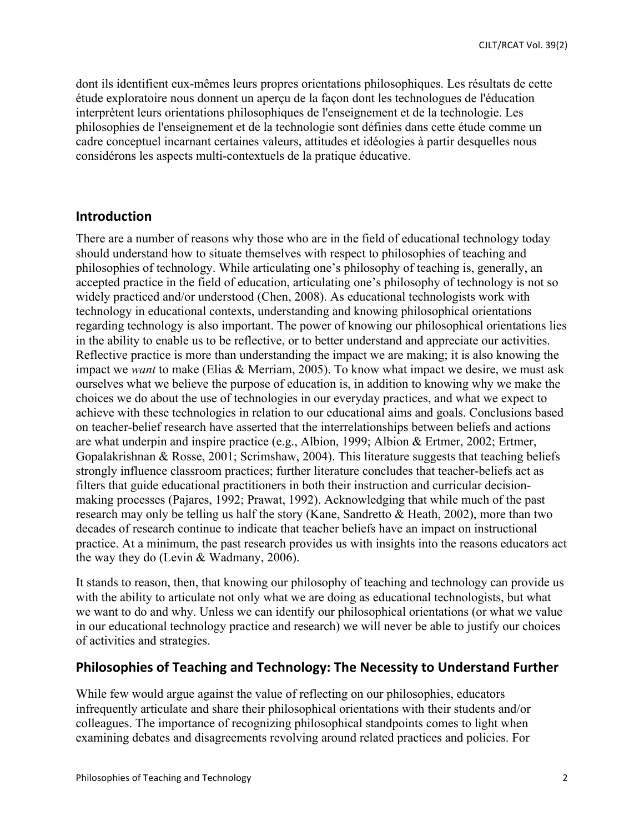dont ils identifient eux-mêmes leurs propres orientations philosophiques. Les résultats de cette étude exploratoire nous donnent un aperçu de la façon dont les technologues de l'éducation interprètent leurs orientations philosophiques de l'enseignement et de la technologie. Les philosophies de l'enseignement et de la technologie sont définies dans cette étude comme un cadre conceptuel incarnant certaines valeurs, attitudes et idéologies à partir desquelles nous considérons les aspects multi-contextuels de la pratique éducative.

## **Introduction**

There are a number of reasons why those who are in the field of educational technology today should understand how to situate themselves with respect to philosophies of teaching and philosophies of technology. While articulating one's philosophy of teaching is, generally, an accepted practice in the field of education, articulating one's philosophy of technology is not so widely practiced and/or understood (Chen, 2008). As educational technologists work with technology in educational contexts, understanding and knowing philosophical orientations regarding technology is also important. The power of knowing our philosophical orientations lies in the ability to enable us to be reflective, or to better understand and appreciate our activities. Reflective practice is more than understanding the impact we are making; it is also knowing the impact we *want* to make (Elias & Merriam, 2005). To know what impact we desire, we must ask ourselves what we believe the purpose of education is, in addition to knowing why we make the choices we do about the use of technologies in our everyday practices, and what we expect to achieve with these technologies in relation to our educational aims and goals. Conclusions based on teacher-belief research have asserted that the interrelationships between beliefs and actions are what underpin and inspire practice (e.g., Albion, 1999; Albion & Ertmer, 2002; Ertmer, Gopalakrishnan & Rosse, 2001; Scrimshaw, 2004). This literature suggests that teaching beliefs strongly influence classroom practices; further literature concludes that teacher-beliefs act as filters that guide educational practitioners in both their instruction and curricular decisionmaking processes (Pajares, 1992; Prawat, 1992). Acknowledging that while much of the past research may only be telling us half the story (Kane, Sandretto & Heath, 2002), more than two decades of research continue to indicate that teacher beliefs have an impact on instructional practice. At a minimum, the past research provides us with insights into the reasons educators act the way they do (Levin & Wadmany, 2006).

It stands to reason, then, that knowing our philosophy of teaching and technology can provide us with the ability to articulate not only what we are doing as educational technologists, but what we want to do and why. Unless we can identify our philosophical orientations (or what we value in our educational technology practice and research) we will never be able to justify our choices of activities and strategies.

# **Philosophies of Teaching and Technology: The Necessity to Understand Further**

While few would argue against the value of reflecting on our philosophies, educators infrequently articulate and share their philosophical orientations with their students and/or colleagues. The importance of recognizing philosophical standpoints comes to light when examining debates and disagreements revolving around related practices and policies. For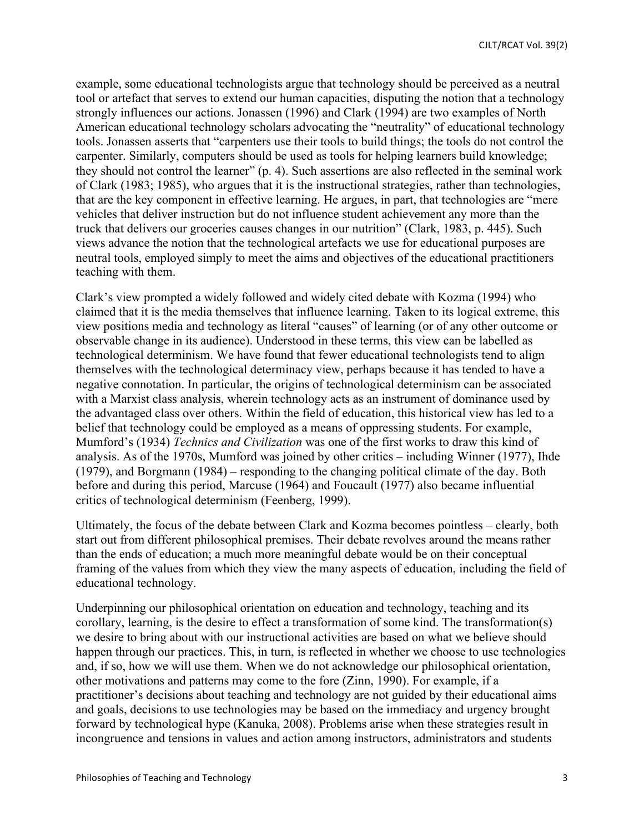example, some educational technologists argue that technology should be perceived as a neutral tool or artefact that serves to extend our human capacities, disputing the notion that a technology strongly influences our actions. Jonassen (1996) and Clark (1994) are two examples of North American educational technology scholars advocating the "neutrality" of educational technology tools. Jonassen asserts that "carpenters use their tools to build things; the tools do not control the carpenter. Similarly, computers should be used as tools for helping learners build knowledge; they should not control the learner" (p. 4). Such assertions are also reflected in the seminal work of Clark (1983; 1985), who argues that it is the instructional strategies, rather than technologies, that are the key component in effective learning. He argues, in part, that technologies are "mere vehicles that deliver instruction but do not influence student achievement any more than the truck that delivers our groceries causes changes in our nutrition" (Clark, 1983, p. 445). Such views advance the notion that the technological artefacts we use for educational purposes are neutral tools, employed simply to meet the aims and objectives of the educational practitioners teaching with them.

Clark's view prompted a widely followed and widely cited debate with Kozma (1994) who claimed that it is the media themselves that influence learning. Taken to its logical extreme, this view positions media and technology as literal "causes" of learning (or of any other outcome or observable change in its audience). Understood in these terms, this view can be labelled as technological determinism. We have found that fewer educational technologists tend to align themselves with the technological determinacy view, perhaps because it has tended to have a negative connotation. In particular, the origins of technological determinism can be associated with a Marxist class analysis, wherein technology acts as an instrument of dominance used by the advantaged class over others. Within the field of education, this historical view has led to a belief that technology could be employed as a means of oppressing students. For example, Mumford's (1934) *Technics and Civilization* was one of the first works to draw this kind of analysis. As of the 1970s, Mumford was joined by other critics – including Winner (1977), Ihde (1979), and Borgmann (1984) – responding to the changing political climate of the day. Both before and during this period, Marcuse (1964) and Foucault (1977) also became influential critics of technological determinism (Feenberg, 1999).

Ultimately, the focus of the debate between Clark and Kozma becomes pointless – clearly, both start out from different philosophical premises. Their debate revolves around the means rather than the ends of education; a much more meaningful debate would be on their conceptual framing of the values from which they view the many aspects of education, including the field of educational technology.

Underpinning our philosophical orientation on education and technology, teaching and its corollary, learning, is the desire to effect a transformation of some kind. The transformation(s) we desire to bring about with our instructional activities are based on what we believe should happen through our practices. This, in turn, is reflected in whether we choose to use technologies and, if so, how we will use them. When we do not acknowledge our philosophical orientation, other motivations and patterns may come to the fore (Zinn, 1990). For example, if a practitioner's decisions about teaching and technology are not guided by their educational aims and goals, decisions to use technologies may be based on the immediacy and urgency brought forward by technological hype (Kanuka, 2008). Problems arise when these strategies result in incongruence and tensions in values and action among instructors, administrators and students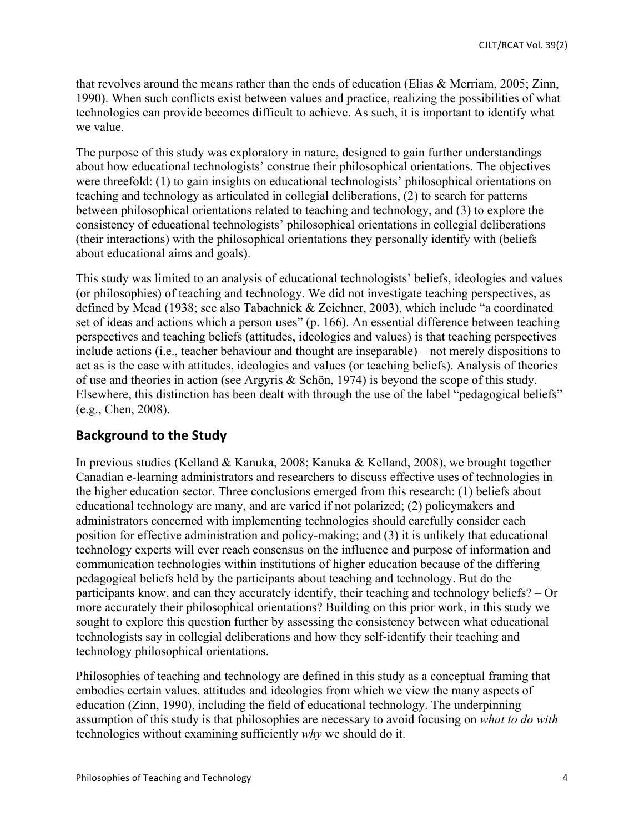that revolves around the means rather than the ends of education (Elias & Merriam, 2005; Zinn, 1990). When such conflicts exist between values and practice, realizing the possibilities of what technologies can provide becomes difficult to achieve. As such, it is important to identify what we value.

The purpose of this study was exploratory in nature, designed to gain further understandings about how educational technologists' construe their philosophical orientations. The objectives were threefold: (1) to gain insights on educational technologists' philosophical orientations on teaching and technology as articulated in collegial deliberations, (2) to search for patterns between philosophical orientations related to teaching and technology, and (3) to explore the consistency of educational technologists' philosophical orientations in collegial deliberations (their interactions) with the philosophical orientations they personally identify with (beliefs about educational aims and goals).

This study was limited to an analysis of educational technologists' beliefs, ideologies and values (or philosophies) of teaching and technology. We did not investigate teaching perspectives, as defined by Mead (1938; see also Tabachnick & Zeichner, 2003), which include "a coordinated set of ideas and actions which a person uses" (p. 166). An essential difference between teaching perspectives and teaching beliefs (attitudes, ideologies and values) is that teaching perspectives include actions (i.e., teacher behaviour and thought are inseparable) – not merely dispositions to act as is the case with attitudes, ideologies and values (or teaching beliefs). Analysis of theories of use and theories in action (see Argyris & Schön, 1974) is beyond the scope of this study. Elsewhere, this distinction has been dealt with through the use of the label "pedagogical beliefs" (e.g., Chen, 2008).

# **Background to the Study**

In previous studies (Kelland & Kanuka, 2008; Kanuka & Kelland, 2008), we brought together Canadian e-learning administrators and researchers to discuss effective uses of technologies in the higher education sector. Three conclusions emerged from this research: (1) beliefs about educational technology are many, and are varied if not polarized; (2) policymakers and administrators concerned with implementing technologies should carefully consider each position for effective administration and policy-making; and (3) it is unlikely that educational technology experts will ever reach consensus on the influence and purpose of information and communication technologies within institutions of higher education because of the differing pedagogical beliefs held by the participants about teaching and technology. But do the participants know, and can they accurately identify, their teaching and technology beliefs? – Or more accurately their philosophical orientations? Building on this prior work, in this study we sought to explore this question further by assessing the consistency between what educational technologists say in collegial deliberations and how they self-identify their teaching and technology philosophical orientations.

Philosophies of teaching and technology are defined in this study as a conceptual framing that embodies certain values, attitudes and ideologies from which we view the many aspects of education (Zinn, 1990), including the field of educational technology. The underpinning assumption of this study is that philosophies are necessary to avoid focusing on *what to do with* technologies without examining sufficiently *why* we should do it.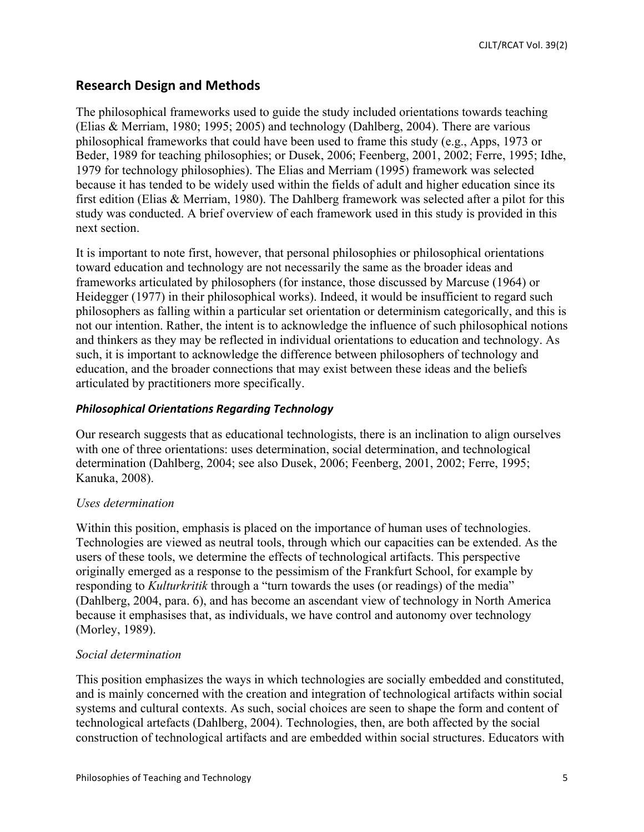# **Research Design and Methods**

The philosophical frameworks used to guide the study included orientations towards teaching (Elias & Merriam, 1980; 1995; 2005) and technology (Dahlberg, 2004). There are various philosophical frameworks that could have been used to frame this study (e.g., Apps, 1973 or Beder, 1989 for teaching philosophies; or Dusek, 2006; Feenberg, 2001, 2002; Ferre, 1995; Idhe, 1979 for technology philosophies). The Elias and Merriam (1995) framework was selected because it has tended to be widely used within the fields of adult and higher education since its first edition (Elias & Merriam, 1980). The Dahlberg framework was selected after a pilot for this study was conducted. A brief overview of each framework used in this study is provided in this next section.

It is important to note first, however, that personal philosophies or philosophical orientations toward education and technology are not necessarily the same as the broader ideas and frameworks articulated by philosophers (for instance, those discussed by Marcuse (1964) or Heidegger (1977) in their philosophical works). Indeed, it would be insufficient to regard such philosophers as falling within a particular set orientation or determinism categorically, and this is not our intention. Rather, the intent is to acknowledge the influence of such philosophical notions and thinkers as they may be reflected in individual orientations to education and technology. As such, it is important to acknowledge the difference between philosophers of technology and education, and the broader connections that may exist between these ideas and the beliefs articulated by practitioners more specifically.

## *Philosophical Orientations Regarding Technology*

Our research suggests that as educational technologists, there is an inclination to align ourselves with one of three orientations: uses determination, social determination, and technological determination (Dahlberg, 2004; see also Dusek, 2006; Feenberg, 2001, 2002; Ferre, 1995; Kanuka, 2008).

## *Uses determination*

Within this position, emphasis is placed on the importance of human uses of technologies. Technologies are viewed as neutral tools, through which our capacities can be extended. As the users of these tools, we determine the effects of technological artifacts. This perspective originally emerged as a response to the pessimism of the Frankfurt School, for example by responding to *Kulturkritik* through a "turn towards the uses (or readings) of the media" (Dahlberg, 2004, para. 6), and has become an ascendant view of technology in North America because it emphasises that, as individuals, we have control and autonomy over technology (Morley, 1989).

## *Social determination*

This position emphasizes the ways in which technologies are socially embedded and constituted, and is mainly concerned with the creation and integration of technological artifacts within social systems and cultural contexts. As such, social choices are seen to shape the form and content of technological artefacts (Dahlberg, 2004). Technologies, then, are both affected by the social construction of technological artifacts and are embedded within social structures. Educators with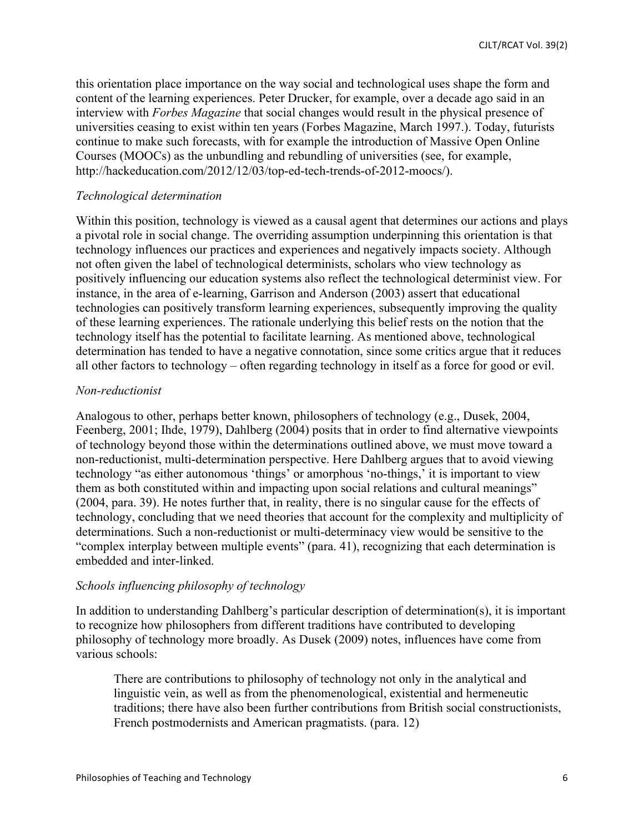this orientation place importance on the way social and technological uses shape the form and content of the learning experiences. Peter Drucker, for example, over a decade ago said in an interview with *Forbes Magazine* that social changes would result in the physical presence of universities ceasing to exist within ten years (Forbes Magazine, March 1997.). Today, futurists continue to make such forecasts, with for example the introduction of Massive Open Online Courses (MOOCs) as the unbundling and rebundling of universities (see, for example, http://hackeducation.com/2012/12/03/top-ed-tech-trends-of-2012-moocs/).

## *Technological determination*

Within this position, technology is viewed as a causal agent that determines our actions and plays a pivotal role in social change. The overriding assumption underpinning this orientation is that technology influences our practices and experiences and negatively impacts society. Although not often given the label of technological determinists, scholars who view technology as positively influencing our education systems also reflect the technological determinist view. For instance, in the area of e-learning, Garrison and Anderson (2003) assert that educational technologies can positively transform learning experiences, subsequently improving the quality of these learning experiences. The rationale underlying this belief rests on the notion that the technology itself has the potential to facilitate learning. As mentioned above, technological determination has tended to have a negative connotation, since some critics argue that it reduces all other factors to technology – often regarding technology in itself as a force for good or evil.

## *Non-reductionist*

Analogous to other, perhaps better known, philosophers of technology (e.g., Dusek, 2004, Feenberg, 2001; Ihde, 1979), Dahlberg (2004) posits that in order to find alternative viewpoints of technology beyond those within the determinations outlined above, we must move toward a non-reductionist, multi-determination perspective. Here Dahlberg argues that to avoid viewing technology "as either autonomous 'things' or amorphous 'no-things,' it is important to view them as both constituted within and impacting upon social relations and cultural meanings" (2004, para. 39). He notes further that, in reality, there is no singular cause for the effects of technology, concluding that we need theories that account for the complexity and multiplicity of determinations. Such a non-reductionist or multi-determinacy view would be sensitive to the "complex interplay between multiple events" (para. 41), recognizing that each determination is embedded and inter-linked.

## *Schools influencing philosophy of technology*

In addition to understanding Dahlberg's particular description of determination(s), it is important to recognize how philosophers from different traditions have contributed to developing philosophy of technology more broadly. As Dusek (2009) notes, influences have come from various schools:

There are contributions to philosophy of technology not only in the analytical and linguistic vein, as well as from the phenomenological, existential and hermeneutic traditions; there have also been further contributions from British social constructionists, French postmodernists and American pragmatists. (para. 12)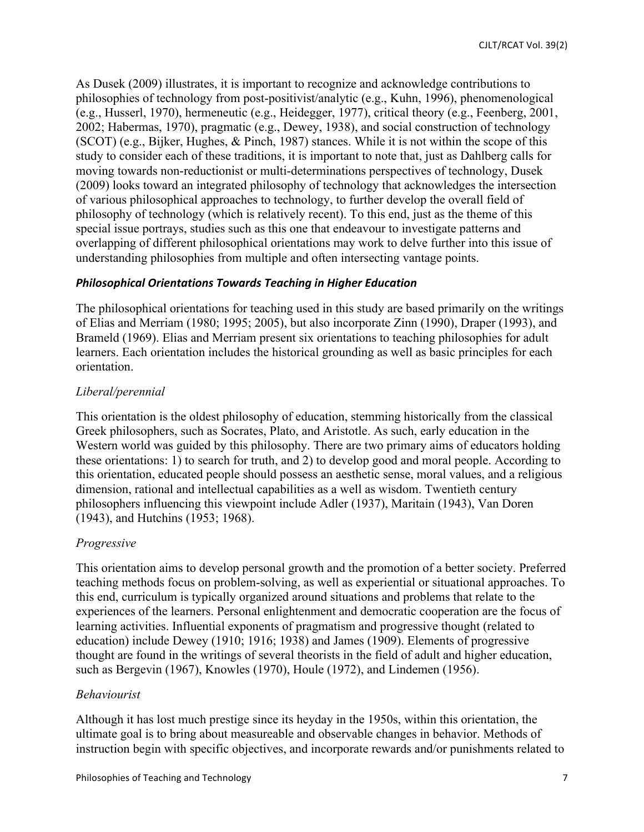As Dusek (2009) illustrates, it is important to recognize and acknowledge contributions to philosophies of technology from post-positivist/analytic (e.g., Kuhn, 1996), phenomenological (e.g., Husserl, 1970), hermeneutic (e.g., Heidegger, 1977), critical theory (e.g., Feenberg, 2001, 2002; Habermas, 1970), pragmatic (e.g., Dewey, 1938), and social construction of technology (SCOT) (e.g., Bijker, Hughes, & Pinch, 1987) stances. While it is not within the scope of this study to consider each of these traditions, it is important to note that, just as Dahlberg calls for moving towards non-reductionist or multi-determinations perspectives of technology, Dusek (2009) looks toward an integrated philosophy of technology that acknowledges the intersection of various philosophical approaches to technology, to further develop the overall field of philosophy of technology (which is relatively recent). To this end, just as the theme of this special issue portrays, studies such as this one that endeavour to investigate patterns and overlapping of different philosophical orientations may work to delve further into this issue of understanding philosophies from multiple and often intersecting vantage points.

#### *Philosophical Orientations Towards Teaching in Higher Education*

The philosophical orientations for teaching used in this study are based primarily on the writings of Elias and Merriam (1980; 1995; 2005), but also incorporate Zinn (1990), Draper (1993), and Brameld (1969). Elias and Merriam present six orientations to teaching philosophies for adult learners. Each orientation includes the historical grounding as well as basic principles for each orientation.

## *Liberal/perennial*

This orientation is the oldest philosophy of education, stemming historically from the classical Greek philosophers, such as Socrates, Plato, and Aristotle. As such, early education in the Western world was guided by this philosophy. There are two primary aims of educators holding these orientations: 1) to search for truth, and 2) to develop good and moral people. According to this orientation, educated people should possess an aesthetic sense, moral values, and a religious dimension, rational and intellectual capabilities as a well as wisdom. Twentieth century philosophers influencing this viewpoint include Adler (1937), Maritain (1943), Van Doren (1943), and Hutchins (1953; 1968).

## *Progressive*

This orientation aims to develop personal growth and the promotion of a better society. Preferred teaching methods focus on problem-solving, as well as experiential or situational approaches. To this end, curriculum is typically organized around situations and problems that relate to the experiences of the learners. Personal enlightenment and democratic cooperation are the focus of learning activities. Influential exponents of pragmatism and progressive thought (related to education) include Dewey (1910; 1916; 1938) and James (1909). Elements of progressive thought are found in the writings of several theorists in the field of adult and higher education, such as Bergevin (1967), Knowles (1970), Houle (1972), and Lindemen (1956).

#### *Behaviourist*

Although it has lost much prestige since its heyday in the 1950s, within this orientation, the ultimate goal is to bring about measureable and observable changes in behavior. Methods of instruction begin with specific objectives, and incorporate rewards and/or punishments related to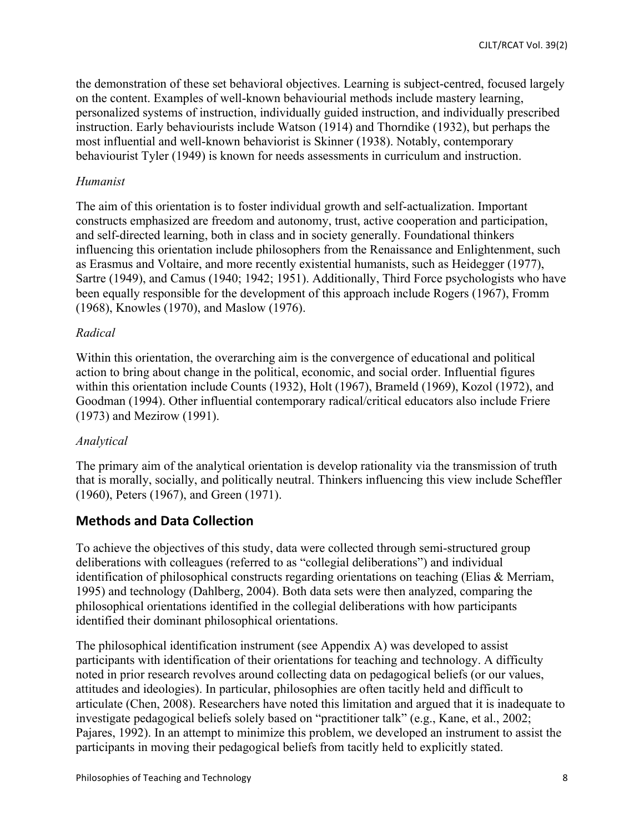the demonstration of these set behavioral objectives. Learning is subject-centred, focused largely on the content. Examples of well-known behaviourial methods include mastery learning, personalized systems of instruction, individually guided instruction, and individually prescribed instruction. Early behaviourists include Watson (1914) and Thorndike (1932), but perhaps the most influential and well-known behaviorist is Skinner (1938). Notably, contemporary behaviourist Tyler (1949) is known for needs assessments in curriculum and instruction.

#### *Humanist*

The aim of this orientation is to foster individual growth and self-actualization. Important constructs emphasized are freedom and autonomy, trust, active cooperation and participation, and self-directed learning, both in class and in society generally. Foundational thinkers influencing this orientation include philosophers from the Renaissance and Enlightenment, such as Erasmus and Voltaire, and more recently existential humanists, such as Heidegger (1977), Sartre (1949), and Camus (1940; 1942; 1951). Additionally, Third Force psychologists who have been equally responsible for the development of this approach include Rogers (1967), Fromm (1968), Knowles (1970), and Maslow (1976).

#### *Radical*

Within this orientation, the overarching aim is the convergence of educational and political action to bring about change in the political, economic, and social order. Influential figures within this orientation include Counts (1932), Holt (1967), Brameld (1969), Kozol (1972), and Goodman (1994). Other influential contemporary radical/critical educators also include Friere (1973) and Mezirow (1991).

#### *Analytical*

The primary aim of the analytical orientation is develop rationality via the transmission of truth that is morally, socially, and politically neutral. Thinkers influencing this view include Scheffler (1960), Peters (1967), and Green (1971).

### **Methods and Data Collection**

To achieve the objectives of this study, data were collected through semi-structured group deliberations with colleagues (referred to as "collegial deliberations") and individual identification of philosophical constructs regarding orientations on teaching (Elias & Merriam, 1995) and technology (Dahlberg, 2004). Both data sets were then analyzed, comparing the philosophical orientations identified in the collegial deliberations with how participants identified their dominant philosophical orientations.

The philosophical identification instrument (see Appendix A) was developed to assist participants with identification of their orientations for teaching and technology. A difficulty noted in prior research revolves around collecting data on pedagogical beliefs (or our values, attitudes and ideologies). In particular, philosophies are often tacitly held and difficult to articulate (Chen, 2008). Researchers have noted this limitation and argued that it is inadequate to investigate pedagogical beliefs solely based on "practitioner talk" (e.g., Kane, et al., 2002; Pajares, 1992). In an attempt to minimize this problem, we developed an instrument to assist the participants in moving their pedagogical beliefs from tacitly held to explicitly stated.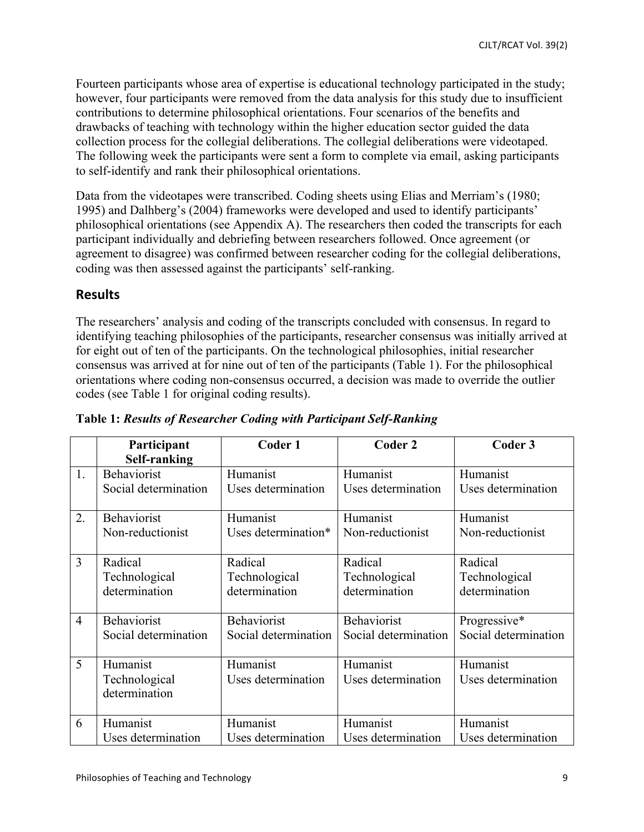Fourteen participants whose area of expertise is educational technology participated in the study; however, four participants were removed from the data analysis for this study due to insufficient contributions to determine philosophical orientations. Four scenarios of the benefits and drawbacks of teaching with technology within the higher education sector guided the data collection process for the collegial deliberations. The collegial deliberations were videotaped. The following week the participants were sent a form to complete via email, asking participants to self-identify and rank their philosophical orientations.

Data from the videotapes were transcribed. Coding sheets using Elias and Merriam's (1980; 1995) and Dalhberg's (2004) frameworks were developed and used to identify participants' philosophical orientations (see Appendix A). The researchers then coded the transcripts for each participant individually and debriefing between researchers followed. Once agreement (or agreement to disagree) was confirmed between researcher coding for the collegial deliberations, coding was then assessed against the participants' self-ranking.

# **Results**

The researchers' analysis and coding of the transcripts concluded with consensus. In regard to identifying teaching philosophies of the participants, researcher consensus was initially arrived at for eight out of ten of the participants. On the technological philosophies, initial researcher consensus was arrived at for nine out of ten of the participants (Table 1). For the philosophical orientations where coding non-consensus occurred, a decision was made to override the outlier codes (see Table 1 for original coding results).

|                | Participant          | Coder 1              | Coder 2              | Coder 3              |
|----------------|----------------------|----------------------|----------------------|----------------------|
|                | <b>Self-ranking</b>  |                      |                      |                      |
| 1.             | <b>Behaviorist</b>   | Humanist             | Humanist             | Humanist             |
|                | Social determination | Uses determination   | Uses determination   | Uses determination   |
|                |                      |                      |                      |                      |
| 2.             | Behaviorist          | Humanist             | Humanist             | Humanist             |
|                | Non-reductionist     | Uses determination*  | Non-reductionist     | Non-reductionist     |
|                |                      |                      |                      |                      |
| 3              | Radical              | Radical              | Radical              | Radical              |
|                | Technological        | Technological        | Technological        | Technological        |
|                | determination        | determination        | determination        | determination        |
|                |                      |                      |                      |                      |
| $\overline{4}$ | <b>Behaviorist</b>   | <b>Behaviorist</b>   | Behaviorist          | Progressive*         |
|                | Social determination | Social determination | Social determination | Social determination |
|                |                      |                      |                      |                      |
| 5              | Humanist             | Humanist             | Humanist             | Humanist             |
|                | Technological        | Uses determination   | Uses determination   | Uses determination   |
|                | determination        |                      |                      |                      |
|                |                      |                      |                      |                      |
| 6              | Humanist             | Humanist             | Humanist             | Humanist             |
|                | Uses determination   | Uses determination   | Uses determination   | Uses determination   |

**Table 1:** *Results of Researcher Coding with Participant Self-Ranking*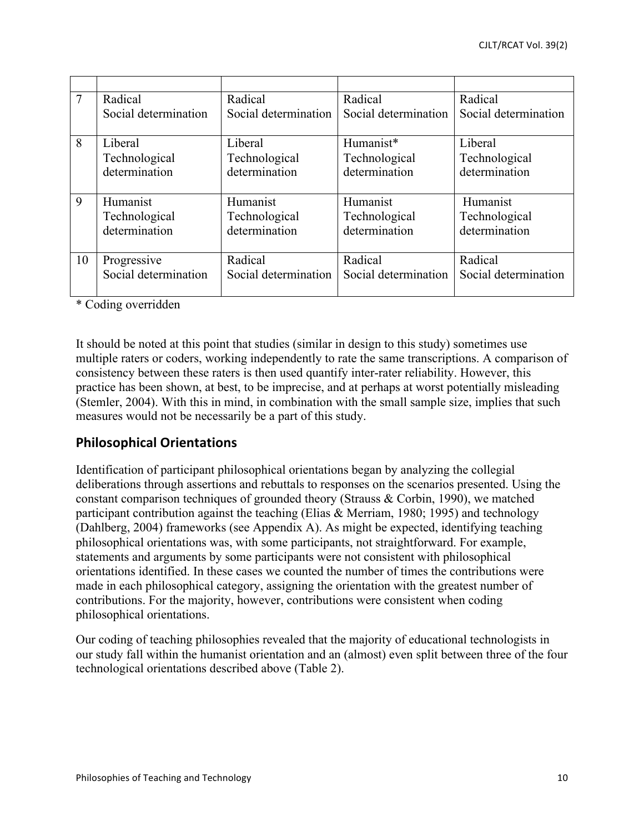| $\overline{7}$ | Radical              | Radical              | Radical              | Radical              |
|----------------|----------------------|----------------------|----------------------|----------------------|
|                | Social determination | Social determination | Social determination | Social determination |
| 8              | Liberal              | Liberal              | Humanist*            | Liberal              |
|                | Technological        | Technological        | Technological        | Technological        |
|                | determination        | determination        | determination        | determination        |
|                |                      |                      |                      |                      |
| 9              | Humanist             | Humanist             | Humanist             | Humanist             |
|                | Technological        | Technological        | Technological        | Technological        |
|                | determination        | determination        | determination        | determination        |
|                |                      |                      |                      |                      |
| 10             | Progressive          | Radical              | Radical              | Radical              |
|                | Social determination | Social determination | Social determination | Social determination |
|                |                      |                      |                      |                      |

\* Coding overridden

It should be noted at this point that studies (similar in design to this study) sometimes use multiple raters or coders, working independently to rate the same transcriptions. A comparison of consistency between these raters is then used quantify inter-rater reliability. However, this practice has been shown, at best, to be imprecise, and at perhaps at worst potentially misleading (Stemler, 2004). With this in mind, in combination with the small sample size, implies that such measures would not be necessarily be a part of this study.

# **Philosophical Orientations**

Identification of participant philosophical orientations began by analyzing the collegial deliberations through assertions and rebuttals to responses on the scenarios presented. Using the constant comparison techniques of grounded theory (Strauss & Corbin, 1990), we matched participant contribution against the teaching (Elias  $\&$  Merriam, 1980; 1995) and technology (Dahlberg, 2004) frameworks (see Appendix A). As might be expected, identifying teaching philosophical orientations was, with some participants, not straightforward. For example, statements and arguments by some participants were not consistent with philosophical orientations identified. In these cases we counted the number of times the contributions were made in each philosophical category, assigning the orientation with the greatest number of contributions. For the majority, however, contributions were consistent when coding philosophical orientations.

Our coding of teaching philosophies revealed that the majority of educational technologists in our study fall within the humanist orientation and an (almost) even split between three of the four technological orientations described above (Table 2).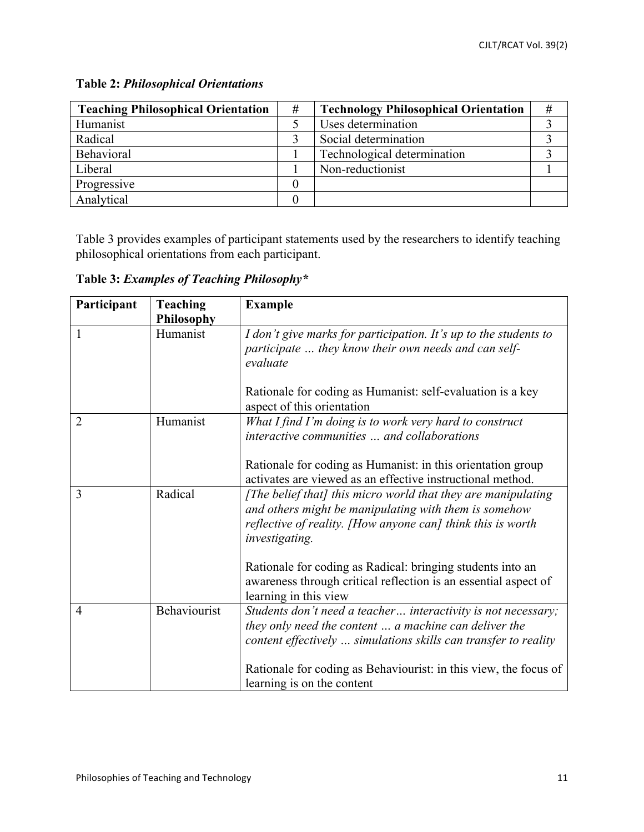# **Table 2:** *Philosophical Orientations*

| <b>Teaching Philosophical Orientation</b> | # | <b>Technology Philosophical Orientation</b> | # |
|-------------------------------------------|---|---------------------------------------------|---|
| Humanist                                  |   | Uses determination                          |   |
| Radical                                   |   | Social determination                        |   |
| Behavioral                                |   | Technological determination                 |   |
| Liberal                                   |   | Non-reductionist                            |   |
| Progressive                               |   |                                             |   |
| Analytical                                |   |                                             |   |

Table 3 provides examples of participant statements used by the researchers to identify teaching philosophical orientations from each participant.

**Table 3:** *Examples of Teaching Philosophy\**

| Participant    | <b>Teaching</b><br><b>Philosophy</b> | <b>Example</b>                                                                                                                                                                                          |
|----------------|--------------------------------------|---------------------------------------------------------------------------------------------------------------------------------------------------------------------------------------------------------|
| 1              | Humanist                             | I don't give marks for participation. It's up to the students to<br>participate  they know their own needs and can self-<br>evaluate                                                                    |
|                |                                      | Rationale for coding as Humanist: self-evaluation is a key<br>aspect of this orientation                                                                                                                |
| $\overline{2}$ | Humanist                             | What I find I'm doing is to work very hard to construct<br>interactive communities  and collaborations                                                                                                  |
|                |                                      | Rationale for coding as Humanist: in this orientation group<br>activates are viewed as an effective instructional method.                                                                               |
| 3              | Radical                              | [The belief that] this micro world that they are manipulating<br>and others might be manipulating with them is somehow<br>reflective of reality. [How anyone can] think this is worth<br>investigating. |
|                |                                      | Rationale for coding as Radical: bringing students into an<br>awareness through critical reflection is an essential aspect of<br>learning in this view                                                  |
| 4              | Behaviourist                         | Students don't need a teacher interactivity is not necessary;<br>they only need the content  a machine can deliver the<br>content effectively  simulations skills can transfer to reality               |
|                |                                      | Rationale for coding as Behaviourist: in this view, the focus of<br>learning is on the content                                                                                                          |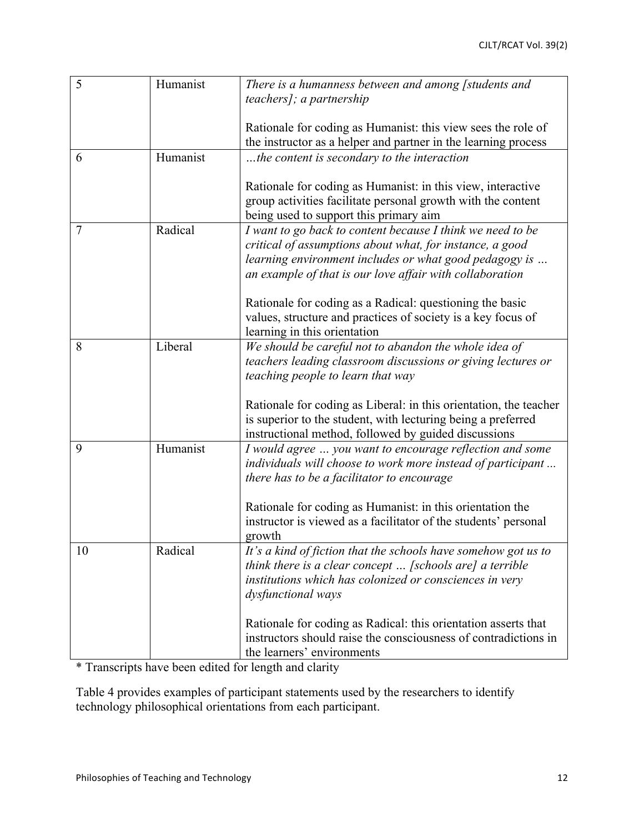| 5              | Humanist | There is a humanness between and among [students and                                                                         |
|----------------|----------|------------------------------------------------------------------------------------------------------------------------------|
|                |          | teachers]; a partnership                                                                                                     |
|                |          |                                                                                                                              |
|                |          | Rationale for coding as Humanist: this view sees the role of                                                                 |
|                |          | the instructor as a helper and partner in the learning process                                                               |
| 6              | Humanist | the content is secondary to the interaction                                                                                  |
|                |          | Rationale for coding as Humanist: in this view, interactive                                                                  |
|                |          | group activities facilitate personal growth with the content<br>being used to support this primary aim                       |
| $\overline{7}$ | Radical  | I want to go back to content because I think we need to be                                                                   |
|                |          | critical of assumptions about what, for instance, a good                                                                     |
|                |          | learning environment includes or what good pedagogy is                                                                       |
|                |          | an example of that is our love affair with collaboration                                                                     |
|                |          |                                                                                                                              |
|                |          | Rationale for coding as a Radical: questioning the basic                                                                     |
|                |          | values, structure and practices of society is a key focus of                                                                 |
| 8              | Liberal  | learning in this orientation<br>We should be careful not to abandon the whole idea of                                        |
|                |          | teachers leading classroom discussions or giving lectures or                                                                 |
|                |          | teaching people to learn that way                                                                                            |
|                |          |                                                                                                                              |
|                |          | Rationale for coding as Liberal: in this orientation, the teacher                                                            |
|                |          | is superior to the student, with lecturing being a preferred                                                                 |
|                |          | instructional method, followed by guided discussions                                                                         |
| 9              | Humanist | I would agree  you want to encourage reflection and some                                                                     |
|                |          | individuals will choose to work more instead of participant                                                                  |
|                |          | there has to be a facilitator to encourage                                                                                   |
|                |          |                                                                                                                              |
|                |          | Rationale for coding as Humanist: in this orientation the<br>instructor is viewed as a facilitator of the students' personal |
|                |          | growth                                                                                                                       |
| 10             | Radical  | It's a kind of fiction that the schools have somehow got us to                                                               |
|                |          | think there is a clear concept $\ldots$ [schools are] a terrible                                                             |
|                |          | institutions which has colonized or consciences in very                                                                      |
|                |          | dysfunctional ways                                                                                                           |
|                |          |                                                                                                                              |
|                |          | Rationale for coding as Radical: this orientation asserts that                                                               |
|                |          | instructors should raise the consciousness of contradictions in                                                              |
|                |          | the learners' environments                                                                                                   |

\* Transcripts have been edited for length and clarity

Table 4 provides examples of participant statements used by the researchers to identify technology philosophical orientations from each participant.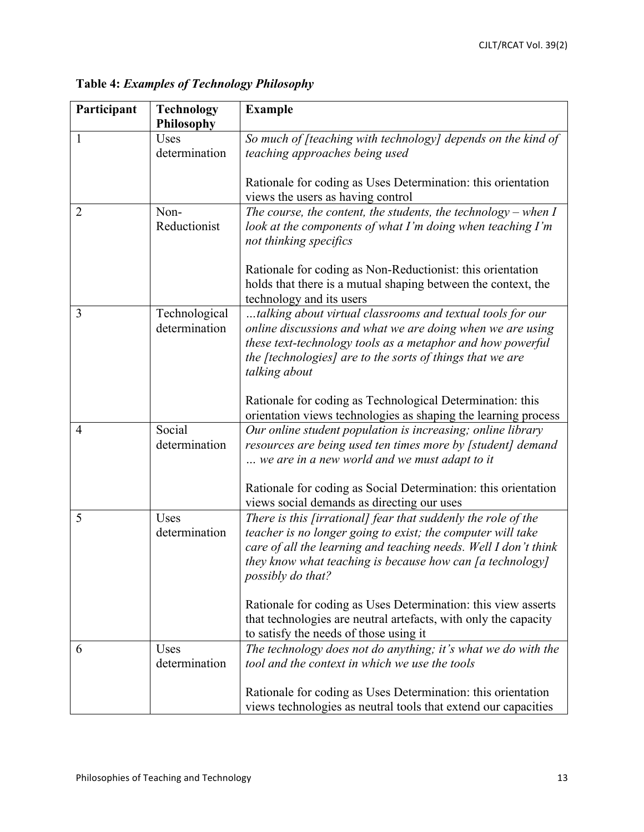| Participant    | <b>Technology</b> | <b>Example</b>                                                   |  |
|----------------|-------------------|------------------------------------------------------------------|--|
|                | <b>Philosophy</b> |                                                                  |  |
| 1              | Uses              | So much of [teaching with technology] depends on the kind of     |  |
|                | determination     | teaching approaches being used                                   |  |
|                |                   |                                                                  |  |
|                |                   | Rationale for coding as Uses Determination: this orientation     |  |
|                |                   | views the users as having control                                |  |
| $\overline{2}$ | Non-              | The course, the content, the students, the technology – when $I$ |  |
|                | Reductionist      | look at the components of what I'm doing when teaching I'm       |  |
|                |                   | not thinking specifics                                           |  |
|                |                   | Rationale for coding as Non-Reduction st: this orientation       |  |
|                |                   | holds that there is a mutual shaping between the context, the    |  |
|                |                   | technology and its users                                         |  |
| 3              | Technological     | talking about virtual classrooms and textual tools for our       |  |
|                | determination     | online discussions and what we are doing when we are using       |  |
|                |                   | these text-technology tools as a metaphor and how powerful       |  |
|                |                   | the [technologies] are to the sorts of things that we are        |  |
|                |                   | talking about                                                    |  |
|                |                   |                                                                  |  |
|                |                   | Rationale for coding as Technological Determination: this        |  |
|                |                   | orientation views technologies as shaping the learning process   |  |
| $\overline{4}$ | Social            | Our online student population is increasing; online library      |  |
|                | determination     | resources are being used ten times more by [student] demand      |  |
|                |                   | we are in a new world and we must adapt to it                    |  |
|                |                   | Rationale for coding as Social Determination: this orientation   |  |
|                |                   | views social demands as directing our uses                       |  |
| 5              | Uses              | There is this [irrational] fear that suddenly the role of the    |  |
|                | determination     | teacher is no longer going to exist; the computer will take      |  |
|                |                   | care of all the learning and teaching needs. Well I don't think  |  |
|                |                   | they know what teaching is because how can [a technology]        |  |
|                |                   | possibly do that?                                                |  |
|                |                   |                                                                  |  |
|                |                   | Rationale for coding as Uses Determination: this view asserts    |  |
|                |                   | that technologies are neutral artefacts, with only the capacity  |  |
|                |                   | to satisfy the needs of those using it                           |  |
| 6              | Uses              | The technology does not do anything; it's what we do with the    |  |
|                | determination     | tool and the context in which we use the tools                   |  |
|                |                   | Rationale for coding as Uses Determination: this orientation     |  |
|                |                   | views technologies as neutral tools that extend our capacities   |  |
|                |                   |                                                                  |  |

**Table 4:** *Examples of Technology Philosophy*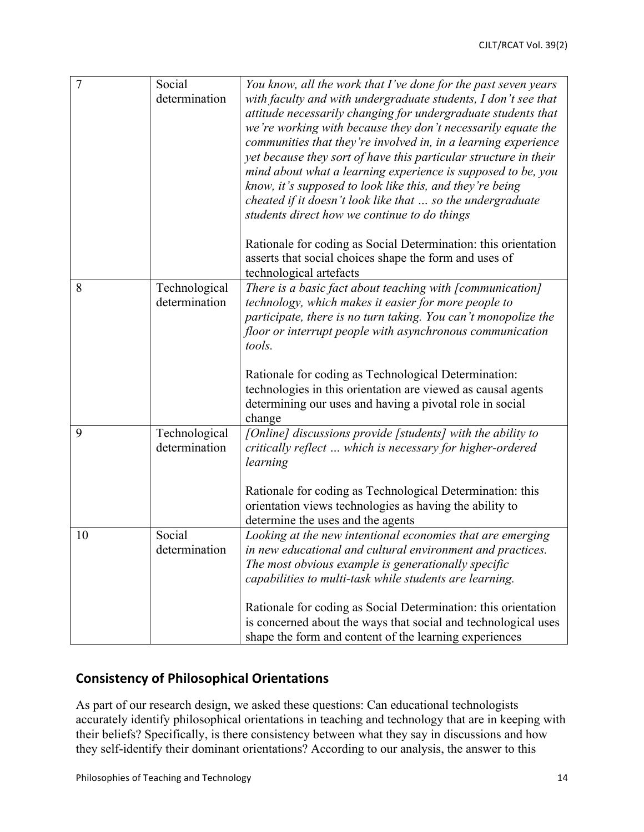| $\overline{7}$ | Social        | You know, all the work that I've done for the past seven years                                                       |
|----------------|---------------|----------------------------------------------------------------------------------------------------------------------|
|                | determination | with faculty and with undergraduate students, I don't see that                                                       |
|                |               | attitude necessarily changing for undergraduate students that                                                        |
|                |               | we're working with because they don't necessarily equate the                                                         |
|                |               | communities that they're involved in, in a learning experience                                                       |
|                |               | yet because they sort of have this particular structure in their                                                     |
|                |               | mind about what a learning experience is supposed to be, you                                                         |
|                |               | know, it's supposed to look like this, and they're being                                                             |
|                |               | cheated if it doesn't look like that  so the undergraduate                                                           |
|                |               | students direct how we continue to do things                                                                         |
|                |               | Rationale for coding as Social Determination: this orientation                                                       |
|                |               | asserts that social choices shape the form and uses of                                                               |
|                |               | technological artefacts                                                                                              |
| 8              | Technological | There is a basic fact about teaching with [communication]                                                            |
|                | determination | technology, which makes it easier for more people to                                                                 |
|                |               | participate, there is no turn taking. You can't monopolize the                                                       |
|                |               | floor or interrupt people with asynchronous communication                                                            |
|                |               | tools.                                                                                                               |
|                |               | Rationale for coding as Technological Determination:                                                                 |
|                |               | technologies in this orientation are viewed as causal agents                                                         |
|                |               | determining our uses and having a pivotal role in social                                                             |
|                |               | change                                                                                                               |
| 9              | Technological | [Online] discussions provide [students] with the ability to                                                          |
|                | determination | critically reflect  which is necessary for higher-ordered                                                            |
|                |               | learning                                                                                                             |
|                |               |                                                                                                                      |
|                |               | Rationale for coding as Technological Determination: this<br>orientation views technologies as having the ability to |
|                |               | determine the uses and the agents                                                                                    |
| 10             | Social        | Looking at the new intentional economies that are emerging                                                           |
|                | determination | in new educational and cultural environment and practices.                                                           |
|                |               | The most obvious example is generationally specific                                                                  |
|                |               | capabilities to multi-task while students are learning.                                                              |
|                |               |                                                                                                                      |
|                |               | Rationale for coding as Social Determination: this orientation                                                       |
|                |               | is concerned about the ways that social and technological uses                                                       |
|                |               | shape the form and content of the learning experiences                                                               |

# **Consistency of Philosophical Orientations**

As part of our research design, we asked these questions: Can educational technologists accurately identify philosophical orientations in teaching and technology that are in keeping with their beliefs? Specifically, is there consistency between what they say in discussions and how they self-identify their dominant orientations? According to our analysis, the answer to this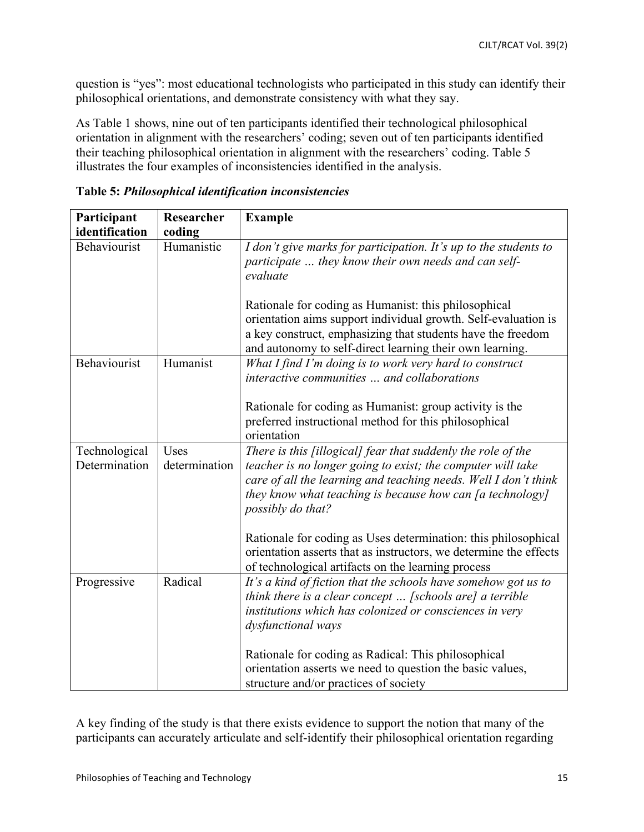question is "yes": most educational technologists who participated in this study can identify their philosophical orientations, and demonstrate consistency with what they say.

As Table 1 shows, nine out of ten participants identified their technological philosophical orientation in alignment with the researchers' coding; seven out of ten participants identified their teaching philosophical orientation in alignment with the researchers' coding. Table 5 illustrates the four examples of inconsistencies identified in the analysis.

| Participant                    | Researcher            | <b>Example</b>                                                                                                                                                                                                                                                                   |
|--------------------------------|-----------------------|----------------------------------------------------------------------------------------------------------------------------------------------------------------------------------------------------------------------------------------------------------------------------------|
| identification                 | coding                |                                                                                                                                                                                                                                                                                  |
| Behaviourist                   | Humanistic            | I don't give marks for participation. It's up to the students to<br>participate  they know their own needs and can self-<br>evaluate<br>Rationale for coding as Humanist: this philosophical                                                                                     |
|                                |                       | orientation aims support individual growth. Self-evaluation is<br>a key construct, emphasizing that students have the freedom<br>and autonomy to self-direct learning their own learning.                                                                                        |
| Behaviourist                   | Humanist              | What I find I'm doing is to work very hard to construct<br>interactive communities  and collaborations                                                                                                                                                                           |
|                                |                       | Rationale for coding as Humanist: group activity is the<br>preferred instructional method for this philosophical<br>orientation                                                                                                                                                  |
| Technological<br>Determination | Uses<br>determination | There is this [illogical] fear that suddenly the role of the<br>teacher is no longer going to exist; the computer will take<br>care of all the learning and teaching needs. Well I don't think<br>they know what teaching is because how can [a technology]<br>possibly do that? |
|                                |                       | Rationale for coding as Uses determination: this philosophical<br>orientation asserts that as instructors, we determine the effects<br>of technological artifacts on the learning process                                                                                        |
| Progressive                    | Radical               | It's a kind of fiction that the schools have somehow got us to<br>think there is a clear concept $\ldots$ [schools are] a terrible<br>institutions which has colonized or consciences in very<br>dysfunctional ways                                                              |
|                                |                       | Rationale for coding as Radical: This philosophical<br>orientation asserts we need to question the basic values,<br>structure and/or practices of society                                                                                                                        |

**Table 5:** *Philosophical identification inconsistencies*

A key finding of the study is that there exists evidence to support the notion that many of the participants can accurately articulate and self-identify their philosophical orientation regarding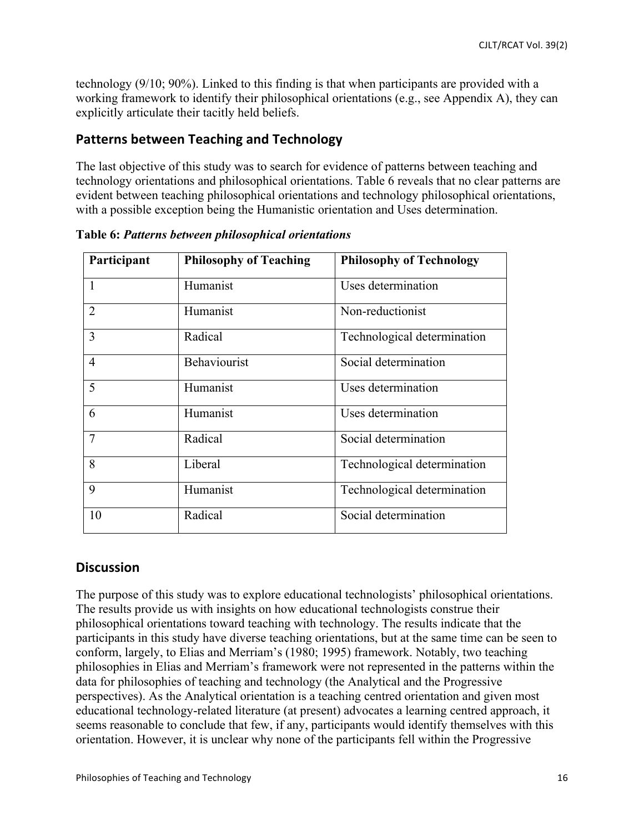technology (9/10; 90%). Linked to this finding is that when participants are provided with a working framework to identify their philosophical orientations (e.g., see Appendix A), they can explicitly articulate their tacitly held beliefs.

# **Patterns between Teaching and Technology**

The last objective of this study was to search for evidence of patterns between teaching and technology orientations and philosophical orientations. Table 6 reveals that no clear patterns are evident between teaching philosophical orientations and technology philosophical orientations, with a possible exception being the Humanistic orientation and Uses determination.

| Participant    | <b>Philosophy of Teaching</b> | <b>Philosophy of Technology</b> |
|----------------|-------------------------------|---------------------------------|
| $\mathbf{1}$   | Humanist                      | Uses determination              |
| $\overline{2}$ | Humanist                      | Non-reductionist                |
| 3              | Radical                       | Technological determination     |
| $\overline{4}$ | Behaviourist                  | Social determination            |
| 5              | Humanist                      | Uses determination              |
| 6              | Humanist                      | Uses determination              |
| $\overline{7}$ | Radical                       | Social determination            |
| 8              | Liberal                       | Technological determination     |
| 9              | Humanist                      | Technological determination     |
| 10             | Radical                       | Social determination            |

**Table 6:** *Patterns between philosophical orientations*

# **Discussion**

The purpose of this study was to explore educational technologists' philosophical orientations. The results provide us with insights on how educational technologists construe their philosophical orientations toward teaching with technology. The results indicate that the participants in this study have diverse teaching orientations, but at the same time can be seen to conform, largely, to Elias and Merriam's (1980; 1995) framework. Notably, two teaching philosophies in Elias and Merriam's framework were not represented in the patterns within the data for philosophies of teaching and technology (the Analytical and the Progressive perspectives). As the Analytical orientation is a teaching centred orientation and given most educational technology-related literature (at present) advocates a learning centred approach, it seems reasonable to conclude that few, if any, participants would identify themselves with this orientation. However, it is unclear why none of the participants fell within the Progressive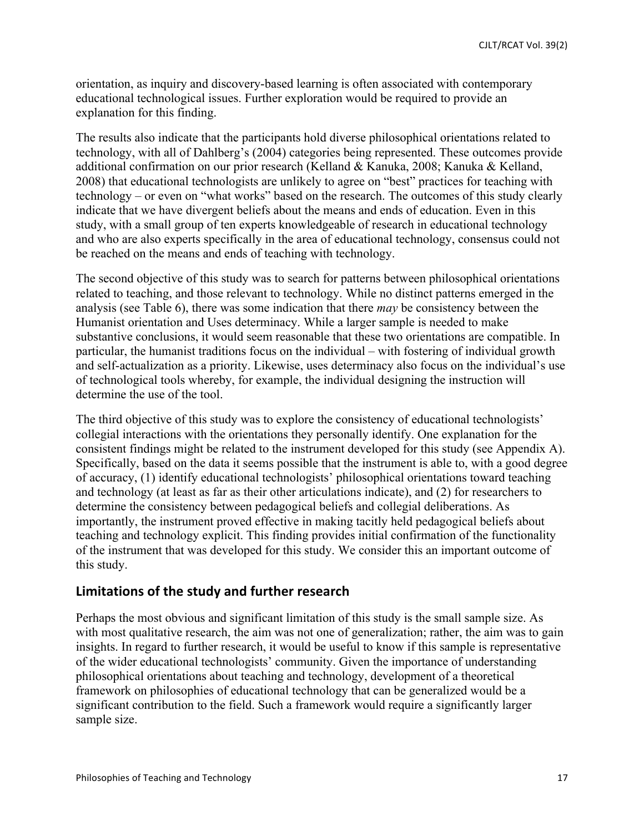orientation, as inquiry and discovery-based learning is often associated with contemporary educational technological issues. Further exploration would be required to provide an explanation for this finding.

The results also indicate that the participants hold diverse philosophical orientations related to technology, with all of Dahlberg's (2004) categories being represented. These outcomes provide additional confirmation on our prior research (Kelland & Kanuka, 2008; Kanuka & Kelland, 2008) that educational technologists are unlikely to agree on "best" practices for teaching with technology – or even on "what works" based on the research. The outcomes of this study clearly indicate that we have divergent beliefs about the means and ends of education. Even in this study, with a small group of ten experts knowledgeable of research in educational technology and who are also experts specifically in the area of educational technology, consensus could not be reached on the means and ends of teaching with technology.

The second objective of this study was to search for patterns between philosophical orientations related to teaching, and those relevant to technology. While no distinct patterns emerged in the analysis (see Table 6), there was some indication that there *may* be consistency between the Humanist orientation and Uses determinacy. While a larger sample is needed to make substantive conclusions, it would seem reasonable that these two orientations are compatible. In particular, the humanist traditions focus on the individual – with fostering of individual growth and self-actualization as a priority. Likewise, uses determinacy also focus on the individual's use of technological tools whereby, for example, the individual designing the instruction will determine the use of the tool.

The third objective of this study was to explore the consistency of educational technologists' collegial interactions with the orientations they personally identify. One explanation for the consistent findings might be related to the instrument developed for this study (see Appendix A). Specifically, based on the data it seems possible that the instrument is able to, with a good degree of accuracy, (1) identify educational technologists' philosophical orientations toward teaching and technology (at least as far as their other articulations indicate), and (2) for researchers to determine the consistency between pedagogical beliefs and collegial deliberations. As importantly, the instrument proved effective in making tacitly held pedagogical beliefs about teaching and technology explicit. This finding provides initial confirmation of the functionality of the instrument that was developed for this study. We consider this an important outcome of this study.

## Limitations of the study and further research

Perhaps the most obvious and significant limitation of this study is the small sample size. As with most qualitative research, the aim was not one of generalization; rather, the aim was to gain insights. In regard to further research, it would be useful to know if this sample is representative of the wider educational technologists' community. Given the importance of understanding philosophical orientations about teaching and technology, development of a theoretical framework on philosophies of educational technology that can be generalized would be a significant contribution to the field. Such a framework would require a significantly larger sample size.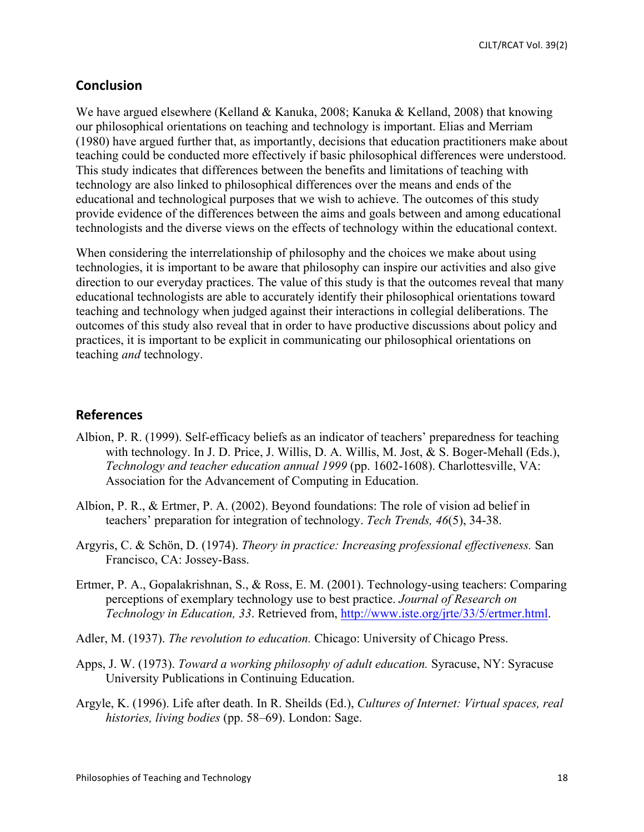CJLT/RCAT Vol. 39(2)

# **Conclusion**

We have argued elsewhere (Kelland & Kanuka, 2008; Kanuka & Kelland, 2008) that knowing our philosophical orientations on teaching and technology is important. Elias and Merriam (1980) have argued further that, as importantly, decisions that education practitioners make about teaching could be conducted more effectively if basic philosophical differences were understood. This study indicates that differences between the benefits and limitations of teaching with technology are also linked to philosophical differences over the means and ends of the educational and technological purposes that we wish to achieve. The outcomes of this study provide evidence of the differences between the aims and goals between and among educational technologists and the diverse views on the effects of technology within the educational context.

When considering the interrelationship of philosophy and the choices we make about using technologies, it is important to be aware that philosophy can inspire our activities and also give direction to our everyday practices. The value of this study is that the outcomes reveal that many educational technologists are able to accurately identify their philosophical orientations toward teaching and technology when judged against their interactions in collegial deliberations. The outcomes of this study also reveal that in order to have productive discussions about policy and practices, it is important to be explicit in communicating our philosophical orientations on teaching *and* technology.

# **References**

- Albion, P. R. (1999). Self-efficacy beliefs as an indicator of teachers' preparedness for teaching with technology. In J. D. Price, J. Willis, D. A. Willis, M. Jost, & S. Boger-Mehall (Eds.), *Technology and teacher education annual 1999* (pp. 1602-1608). Charlottesville, VA: Association for the Advancement of Computing in Education.
- Albion, P. R., & Ertmer, P. A. (2002). Beyond foundations: The role of vision ad belief in teachers' preparation for integration of technology. *Tech Trends, 46*(5), 34-38.
- Argyris, C. & Schön, D. (1974). *Theory in practice: Increasing professional effectiveness.* San Francisco, CA: Jossey-Bass.
- Ertmer, P. A., Gopalakrishnan, S., & Ross, E. M. (2001). Technology-using teachers: Comparing perceptions of exemplary technology use to best practice. *Journal of Research on Technology in Education, 33*. Retrieved from, http://www.iste.org/jrte/33/5/ertmer.html.
- Adler, M. (1937). *The revolution to education.* Chicago: University of Chicago Press.
- Apps, J. W. (1973). *Toward a working philosophy of adult education.* Syracuse, NY: Syracuse University Publications in Continuing Education.
- Argyle, K. (1996). Life after death. In R. Sheilds (Ed.), *Cultures of Internet: Virtual spaces, real histories, living bodies* (pp. 58–69). London: Sage.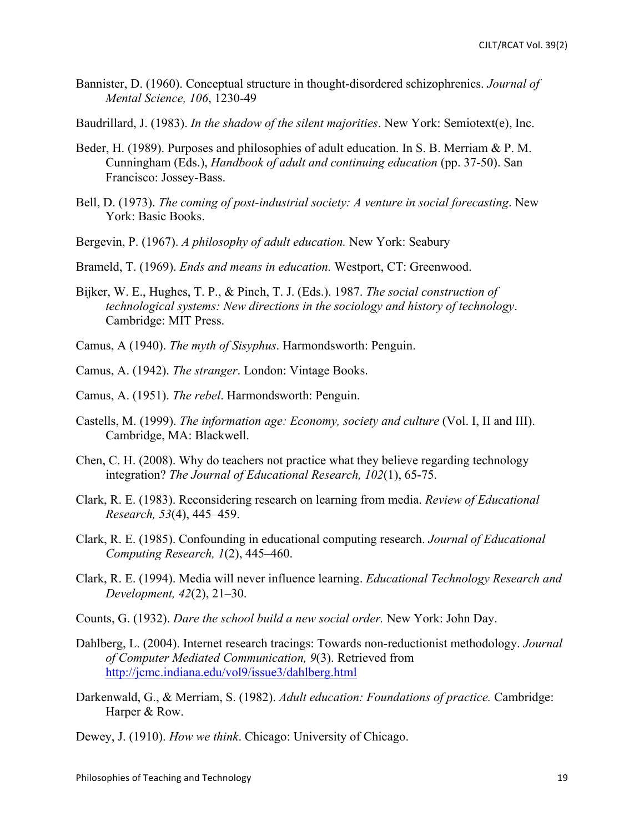- Bannister, D. (1960). Conceptual structure in thought-disordered schizophrenics. *Journal of Mental Science, 106*, 1230-49
- Baudrillard, J. (1983). *In the shadow of the silent majorities*. New York: Semiotext(e), Inc.
- Beder, H. (1989). Purposes and philosophies of adult education. In S. B. Merriam & P. M. Cunningham (Eds.), *Handbook of adult and continuing education* (pp. 37-50). San Francisco: Jossey-Bass.
- Bell, D. (1973). *The coming of post-industrial society: A venture in social forecasting*. New York: Basic Books.
- Bergevin, P. (1967). *A philosophy of adult education.* New York: Seabury
- Brameld, T. (1969). *Ends and means in education.* Westport, CT: Greenwood.
- Bijker, W. E., Hughes, T. P., & Pinch, T. J. (Eds.). 1987. *The social construction of technological systems: New directions in the sociology and history of technology*. Cambridge: MIT Press.
- Camus, A (1940). *The myth of Sisyphus*. Harmondsworth: Penguin.
- Camus, A. (1942). *The stranger*. London: Vintage Books.
- Camus, A. (1951). *The rebel*. Harmondsworth: Penguin.
- Castells, M. (1999). *The information age: Economy, society and culture* (Vol. I, II and III). Cambridge, MA: Blackwell.
- Chen, C. H. (2008). Why do teachers not practice what they believe regarding technology integration? *The Journal of Educational Research, 102*(1), 65-75.
- Clark, R. E. (1983). Reconsidering research on learning from media. *Review of Educational Research, 53*(4), 445–459.
- Clark, R. E. (1985). Confounding in educational computing research. *Journal of Educational Computing Research, 1*(2), 445–460.
- Clark, R. E. (1994). Media will never influence learning. *Educational Technology Research and Development, 42*(2), 21–30.
- Counts, G. (1932). *Dare the school build a new social order.* New York: John Day.
- Dahlberg, L. (2004). Internet research tracings: Towards non-reductionist methodology. *Journal of Computer Mediated Communication, 9*(3). Retrieved from http://jcmc.indiana.edu/vol9/issue3/dahlberg.html
- Darkenwald, G., & Merriam, S. (1982). *Adult education: Foundations of practice.* Cambridge: Harper & Row.
- Dewey, J. (1910). *How we think*. Chicago: University of Chicago.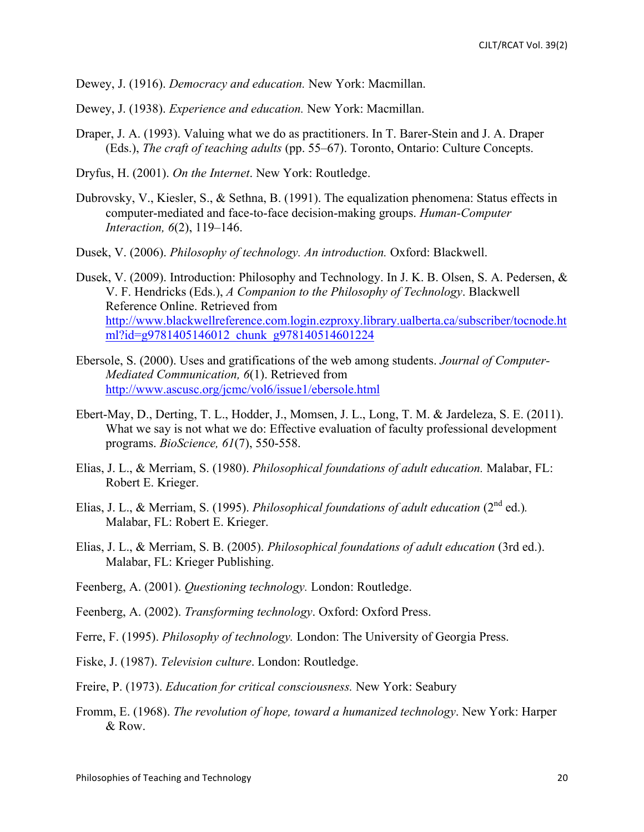Dewey, J. (1916). *Democracy and education.* New York: Macmillan.

- Dewey, J. (1938). *Experience and education.* New York: Macmillan.
- Draper, J. A. (1993). Valuing what we do as practitioners. In T. Barer-Stein and J. A. Draper (Eds.), *The craft of teaching adults* (pp. 55–67). Toronto, Ontario: Culture Concepts.
- Dryfus, H. (2001). *On the Internet*. New York: Routledge.
- Dubrovsky, V., Kiesler, S., & Sethna, B. (1991). The equalization phenomena: Status effects in computer-mediated and face-to-face decision-making groups. *Human-Computer Interaction, 6*(2), 119–146.
- Dusek, V. (2006). *Philosophy of technology. An introduction.* Oxford: Blackwell.
- Dusek, V. (2009). Introduction: Philosophy and Technology. In J. K. B. Olsen, S. A. Pedersen, & V. F. Hendricks (Eds.), *A Companion to the Philosophy of Technology*. Blackwell Reference Online. Retrieved from http://www.blackwellreference.com.login.ezproxy.library.ualberta.ca/subscriber/tocnode.ht ml?id=g9781405146012 chunk g978140514601224
- Ebersole, S. (2000). Uses and gratifications of the web among students. *Journal of Computer-Mediated Communication, 6*(1). Retrieved from http://www.ascusc.org/jcmc/vol6/issue1/ebersole.html
- Ebert-May, D., Derting, T. L., Hodder, J., Momsen, J. L., Long, T. M. & Jardeleza, S. E. (2011). What we say is not what we do: Effective evaluation of faculty professional development programs. *BioScience, 61*(7), 550-558.
- Elias, J. L., & Merriam, S. (1980). *Philosophical foundations of adult education.* Malabar, FL: Robert E. Krieger.
- Elias, J. L., & Merriam, S. (1995). *Philosophical foundations of adult education* (2<sup>nd</sup> ed.). Malabar, FL: Robert E. Krieger.
- Elias, J. L., & Merriam, S. B. (2005). *Philosophical foundations of adult education* (3rd ed.). Malabar, FL: Krieger Publishing.
- Feenberg, A. (2001). *Questioning technology.* London: Routledge.
- Feenberg, A. (2002). *Transforming technology*. Oxford: Oxford Press.
- Ferre, F. (1995). *Philosophy of technology.* London: The University of Georgia Press.
- Fiske, J. (1987). *Television culture*. London: Routledge.
- Freire, P. (1973). *Education for critical consciousness.* New York: Seabury
- Fromm, E. (1968). *The revolution of hope, toward a humanized technology*. New York: Harper & Row.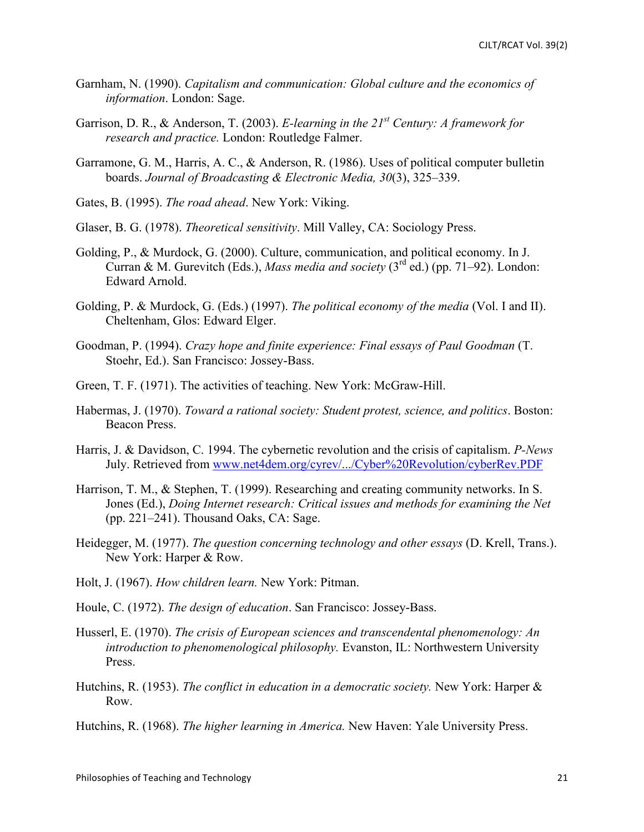- Garnham, N. (1990). *Capitalism and communication: Global culture and the economics of information*. London: Sage.
- Garrison, D. R., & Anderson, T. (2003). *E-learning in the 21st Century: A framework for research and practice.* London: Routledge Falmer.
- Garramone, G. M., Harris, A. C., & Anderson, R. (1986). Uses of political computer bulletin boards. *Journal of Broadcasting & Electronic Media, 30*(3), 325–339.
- Gates, B. (1995). *The road ahead*. New York: Viking.
- Glaser, B. G. (1978). *Theoretical sensitivity*. Mill Valley, CA: Sociology Press.
- Golding, P., & Murdock, G. (2000). Culture, communication, and political economy. In J. Curran & M. Gurevitch (Eds.), *Mass media and society* (3rd ed.) (pp. 71–92). London: Edward Arnold.
- Golding, P. & Murdock, G. (Eds.) (1997). *The political economy of the media* (Vol. I and II). Cheltenham, Glos: Edward Elger.
- Goodman, P. (1994). *Crazy hope and finite experience: Final essays of Paul Goodman* (T. Stoehr, Ed.). San Francisco: Jossey-Bass.
- Green, T. F. (1971). The activities of teaching. New York: McGraw-Hill.
- Habermas, J. (1970). *Toward a rational society: Student protest, science, and politics*. Boston: Beacon Press.
- Harris, J. & Davidson, C. 1994. The cybernetic revolution and the crisis of capitalism. *P-News*  July. Retrieved from www.net4dem.org/cyrev/.../Cyber%20Revolution/cyberRev.PDF
- Harrison, T. M., & Stephen, T. (1999). Researching and creating community networks. In S. Jones (Ed.), *Doing Internet research: Critical issues and methods for examining the Net* (pp. 221–241). Thousand Oaks, CA: Sage.
- Heidegger, M. (1977). *The question concerning technology and other essays* (D. Krell, Trans.). New York: Harper & Row.
- Holt, J. (1967). *How children learn.* New York: Pitman.
- Houle, C. (1972). *The design of education*. San Francisco: Jossey-Bass.
- Husserl, E. (1970). *The crisis of European sciences and transcendental phenomenology: An introduction to phenomenological philosophy.* Evanston, IL: Northwestern University Press.
- Hutchins, R. (1953). *The conflict in education in a democratic society.* New York: Harper & Row.
- Hutchins, R. (1968). *The higher learning in America.* New Haven: Yale University Press.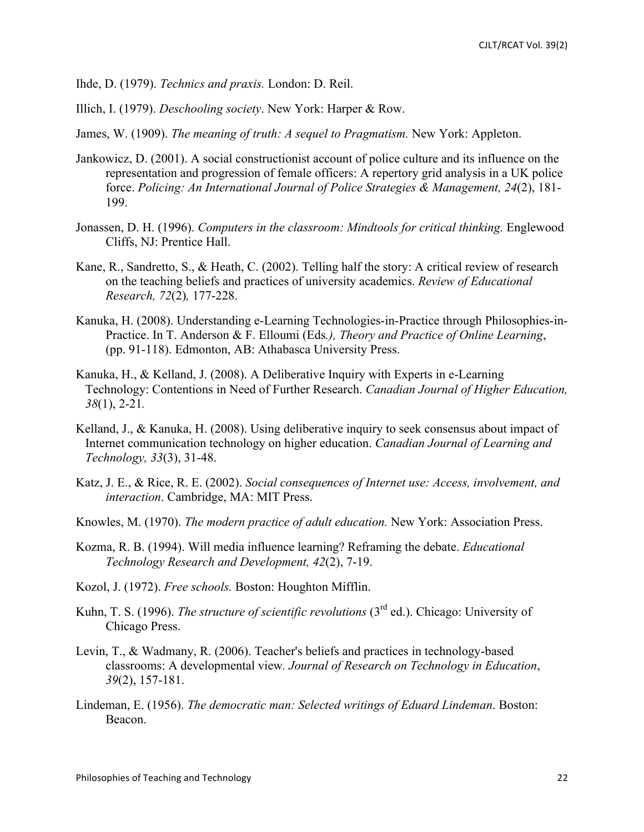Ihde, D. (1979). *Technics and praxis.* London: D. Reil.

Illich, I. (1979). *Deschooling society*. New York: Harper & Row.

James, W. (1909). *The meaning of truth: A sequel to Pragmatism.* New York: Appleton.

- Jankowicz, D. (2001). A social constructionist account of police culture and its influence on the representation and progression of female officers: A repertory grid analysis in a UK police force. *Policing: An International Journal of Police Strategies & Management, 24*(2), 181- 199.
- Jonassen, D. H. (1996). *Computers in the classroom: Mindtools for critical thinking.* Englewood Cliffs, NJ: Prentice Hall.
- Kane, R., Sandretto, S., & Heath, C. (2002). Telling half the story: A critical review of research on the teaching beliefs and practices of university academics. *Review of Educational Research, 72*(2)*,* 177-228.
- Kanuka, H. (2008). Understanding e-Learning Technologies-in-Practice through Philosophies-in-Practice. In T. Anderson & F. Elloumi (Eds*.), Theory and Practice of Online Learning*, (pp. 91-118). Edmonton, AB: Athabasca University Press.
- Kanuka, H., & Kelland, J. (2008). A Deliberative Inquiry with Experts in e-Learning Technology: Contentions in Need of Further Research. *Canadian Journal of Higher Education, 38*(1), 2-21*.*
- Kelland, J., & Kanuka, H. (2008). Using deliberative inquiry to seek consensus about impact of Internet communication technology on higher education. *Canadian Journal of Learning and Technology, 33*(3), 31-48.
- Katz, J. E., & Rice, R. E. (2002). *Social consequences of Internet use: Access, involvement, and interaction*. Cambridge, MA: MIT Press.
- Knowles, M. (1970). *The modern practice of adult education.* New York: Association Press.
- Kozma, R. B. (1994). Will media influence learning? Reframing the debate. *Educational Technology Research and Development, 42*(2), 7-19.
- Kozol, J. (1972). *Free schools.* Boston: Houghton Mifflin.
- Kuhn, T. S. (1996). *The structure of scientific revolutions* (3<sup>rd</sup> ed.). Chicago: University of Chicago Press.
- Levin, T., & Wadmany, R. (2006). Teacher's beliefs and practices in technology-based classrooms: A developmental view*. Journal of Research on Technology in Education*, *39*(2), 157-181.
- Lindeman, E. (1956). *The democratic man: Selected writings of Eduard Lindeman*. Boston: Beacon.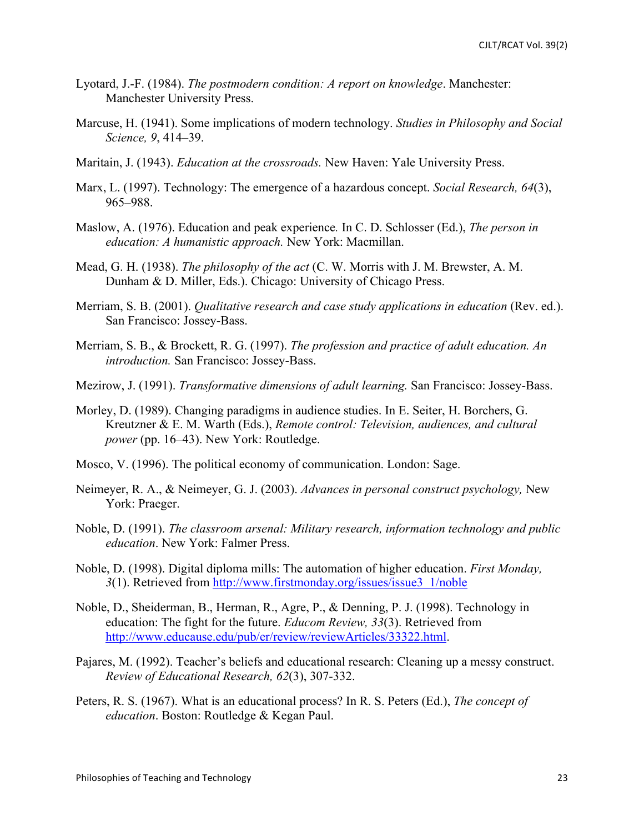- Lyotard, J.-F. (1984). *The postmodern condition: A report on knowledge*. Manchester: Manchester University Press.
- Marcuse, H. (1941). Some implications of modern technology. *Studies in Philosophy and Social Science, 9*, 414–39.
- Maritain, J. (1943). *Education at the crossroads.* New Haven: Yale University Press.
- Marx, L. (1997). Technology: The emergence of a hazardous concept. *Social Research, 64*(3), 965–988.
- Maslow, A. (1976). Education and peak experience*.* In C. D. Schlosser (Ed.), *The person in education: A humanistic approach.* New York: Macmillan.
- Mead, G. H. (1938). *The philosophy of the act* (C. W. Morris with J. M. Brewster, A. M. Dunham & D. Miller, Eds.). Chicago: University of Chicago Press.
- Merriam, S. B. (2001). *Qualitative research and case study applications in education* (Rev. ed.). San Francisco: Jossey-Bass.
- Merriam, S. B., & Brockett, R. G. (1997). *The profession and practice of adult education. An introduction.* San Francisco: Jossey-Bass.
- Mezirow, J. (1991). *Transformative dimensions of adult learning.* San Francisco: Jossey-Bass.
- Morley, D. (1989). Changing paradigms in audience studies. In E. Seiter, H. Borchers, G. Kreutzner & E. M. Warth (Eds.), *Remote control: Television, audiences, and cultural power* (pp. 16–43). New York: Routledge.
- Mosco, V. (1996). The political economy of communication. London: Sage.
- Neimeyer, R. A., & Neimeyer, G. J. (2003). *Advances in personal construct psychology,* New York: Praeger.
- Noble, D. (1991). *The classroom arsenal: Military research, information technology and public education*. New York: Falmer Press.
- Noble, D. (1998). Digital diploma mills: The automation of higher education. *First Monday, 3*(1). Retrieved from http://www.firstmonday.org/issues/issue3\_1/noble
- Noble, D., Sheiderman, B., Herman, R., Agre, P., & Denning, P. J. (1998). Technology in education: The fight for the future. *Educom Review, 33*(3). Retrieved from http://www.educause.edu/pub/er/review/reviewArticles/33322.html.
- Pajares, M. (1992). Teacher's beliefs and educational research: Cleaning up a messy construct. *Review of Educational Research, 62*(3), 307-332.
- Peters, R. S. (1967). What is an educational process? In R. S. Peters (Ed.), *The concept of education*. Boston: Routledge & Kegan Paul.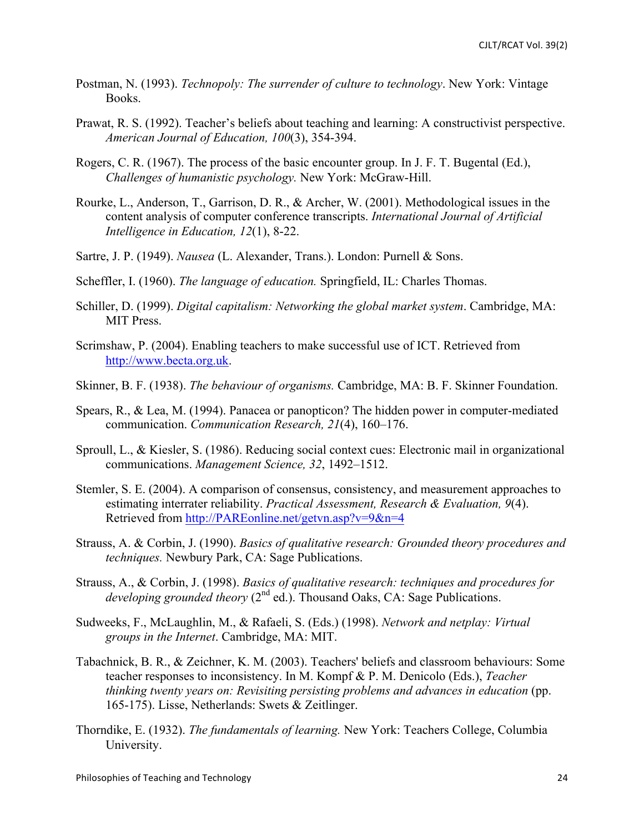- Postman, N. (1993). *Technopoly: The surrender of culture to technology*. New York: Vintage Books.
- Prawat, R. S. (1992). Teacher's beliefs about teaching and learning: A constructivist perspective. *American Journal of Education, 100*(3), 354-394.
- Rogers, C. R. (1967). The process of the basic encounter group. In J. F. T. Bugental (Ed.), *Challenges of humanistic psychology.* New York: McGraw-Hill.
- Rourke, L., Anderson, T., Garrison, D. R., & Archer, W. (2001). Methodological issues in the content analysis of computer conference transcripts. *International Journal of Artificial Intelligence in Education, 12*(1), 8-22.
- Sartre, J. P. (1949). *Nausea* (L. Alexander, Trans.). London: Purnell & Sons.
- Scheffler, I. (1960). *The language of education.* Springfield, IL: Charles Thomas.
- Schiller, D. (1999). *Digital capitalism: Networking the global market system*. Cambridge, MA: MIT Press.
- Scrimshaw, P. (2004). Enabling teachers to make successful use of ICT. Retrieved from http://www.becta.org.uk.
- Skinner, B. F. (1938). *The behaviour of organisms.* Cambridge, MA: B. F. Skinner Foundation.
- Spears, R., & Lea, M. (1994). Panacea or panopticon? The hidden power in computer-mediated communication. *Communication Research, 21*(4), 160–176.
- Sproull, L., & Kiesler, S. (1986). Reducing social context cues: Electronic mail in organizational communications. *Management Science, 32*, 1492–1512.
- Stemler, S. E. (2004). A comparison of consensus, consistency, and measurement approaches to estimating interrater reliability. *Practical Assessment, Research & Evaluation, 9*(4). Retrieved from http://PAREonline.net/getvn.asp?v=9&n=4
- Strauss, A. & Corbin, J. (1990). *Basics of qualitative research: Grounded theory procedures and techniques.* Newbury Park, CA: Sage Publications.
- Strauss, A., & Corbin, J. (1998). *Basics of qualitative research: techniques and procedures for developing grounded theory* (2<sup>nd</sup> ed.). Thousand Oaks, CA: Sage Publications.
- Sudweeks, F., McLaughlin, M., & Rafaeli, S. (Eds.) (1998). *Network and netplay: Virtual groups in the Internet*. Cambridge, MA: MIT.
- Tabachnick, B. R., & Zeichner, K. M. (2003). Teachers' beliefs and classroom behaviours: Some teacher responses to inconsistency. In M. Kompf & P. M. Denicolo (Eds.), *Teacher thinking twenty years on: Revisiting persisting problems and advances in education* (pp. 165-175). Lisse, Netherlands: Swets & Zeitlinger.
- Thorndike, E. (1932). *The fundamentals of learning.* New York: Teachers College, Columbia University.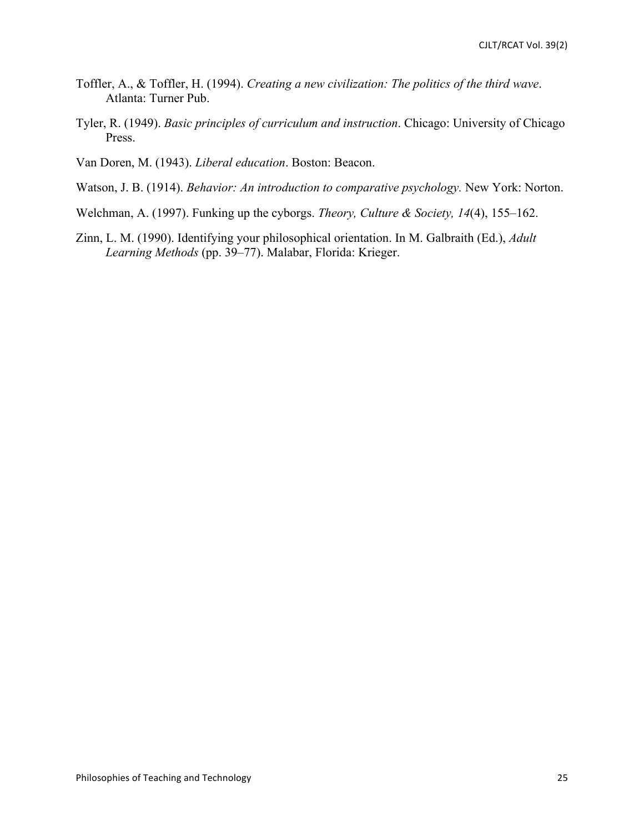- Toffler, A., & Toffler, H. (1994). *Creating a new civilization: The politics of the third wave*. Atlanta: Turner Pub.
- Tyler, R. (1949). *Basic principles of curriculum and instruction*. Chicago: University of Chicago Press.
- Van Doren, M. (1943). *Liberal education*. Boston: Beacon.
- Watson, J. B. (1914). *Behavior: An introduction to comparative psychology.* New York: Norton.
- Welchman, A. (1997). Funking up the cyborgs. *Theory, Culture & Society, 14*(4), 155–162.
- Zinn, L. M. (1990). Identifying your philosophical orientation. In M. Galbraith (Ed.), *Adult Learning Methods* (pp. 39–77). Malabar, Florida: Krieger.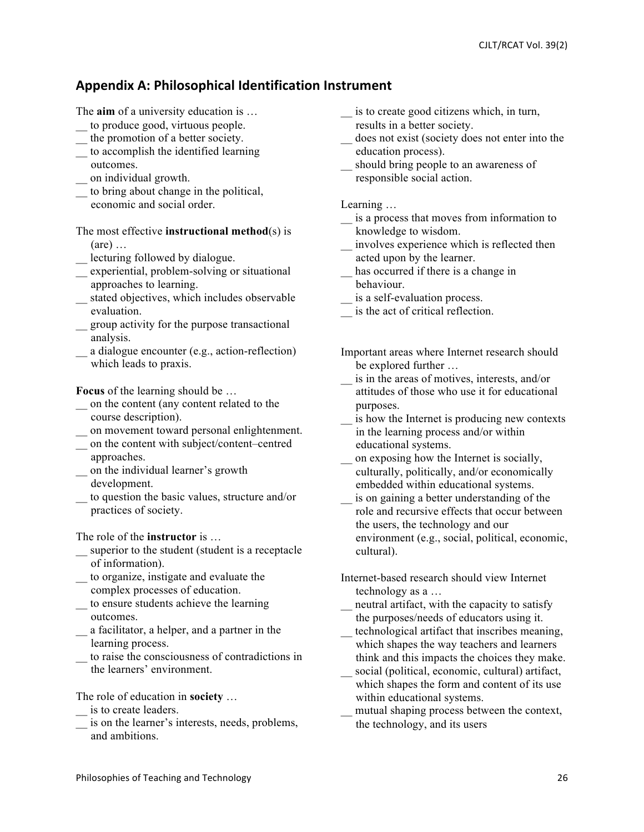# **Appendix A: Philosophical Identification Instrument**

The **aim** of a university education is …

- \_\_ to produce good, virtuous people.
- \_\_ the promotion of a better society.
- \_\_ to accomplish the identified learning outcomes.
- on individual growth.
- to bring about change in the political, economic and social order.

The most effective **instructional method**(s) is  $(\text{are})$  ...

- \_\_ lecturing followed by dialogue.
- \_\_ experiential, problem-solving or situational approaches to learning.
- stated objectives, which includes observable evaluation.
- \_\_ group activity for the purpose transactional analysis.
- a dialogue encounter (e.g., action-reflection) which leads to praxis.

**Focus** of the learning should be …

- \_\_ on the content (any content related to the course description).
- \_\_ on movement toward personal enlightenment.
- \_\_ on the content with subject/content–centred approaches.
- \_\_ on the individual learner's growth development.
- \_\_ to question the basic values, structure and/or practices of society.

The role of the **instructor** is …

- superior to the student (student is a receptacle of information).
- \_\_ to organize, instigate and evaluate the complex processes of education.
- \_\_ to ensure students achieve the learning outcomes.
- \_\_ a facilitator, a helper, and a partner in the learning process.
- \_\_ to raise the consciousness of contradictions in the learners' environment.

The role of education in **society** …

- \_\_ is to create leaders.
- \_\_ is on the learner's interests, needs, problems, and ambitions.
- is to create good citizens which, in turn, results in a better society.
- does not exist (society does not enter into the education process).
- should bring people to an awareness of responsible social action.

#### Learning …

- is a process that moves from information to knowledge to wisdom.
- involves experience which is reflected then acted upon by the learner.
- has occurred if there is a change in behaviour.
- is a self-evaluation process.
- \_\_ is the act of critical reflection.
- Important areas where Internet research should be explored further …
- is in the areas of motives, interests, and/or attitudes of those who use it for educational purposes.
- is how the Internet is producing new contexts in the learning process and/or within educational systems.
- \_\_ on exposing how the Internet is socially, culturally, politically, and/or economically embedded within educational systems. is on gaining a better understanding of the
- role and recursive effects that occur between the users, the technology and our environment (e.g., social, political, economic, cultural).
- Internet-based research should view Internet technology as a …
- neutral artifact, with the capacity to satisfy the purposes/needs of educators using it.
- \_\_ technological artifact that inscribes meaning, which shapes the way teachers and learners think and this impacts the choices they make. social (political, economic, cultural) artifact,
- which shapes the form and content of its use within educational systems.
- mutual shaping process between the context, the technology, and its users